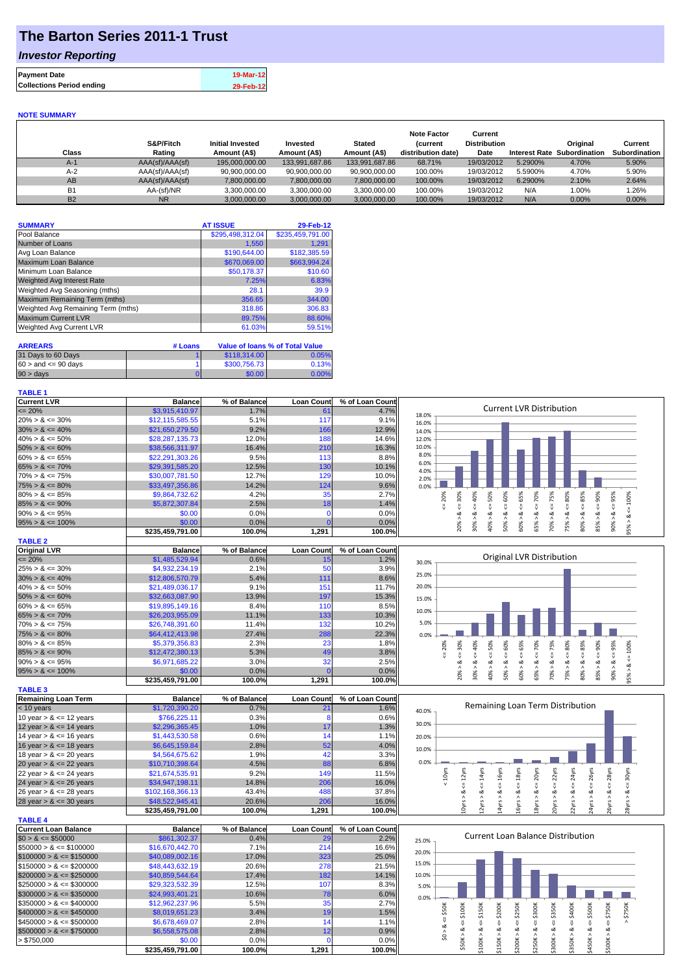## **The Barton Series 2011-1 Trust**

### *Investor Reporting*

| <b>Payment Date</b>              | 19-Mar-12 |
|----------------------------------|-----------|
| <b>Collections Period ending</b> | 29-Feb-12 |

#### **NOTE SUMMARY**

| Class     | S&P/Fitch<br>Rating | <b>Initial Invested</b><br>Amount (A\$) | Invested<br>Amount (A\$) | <b>Stated</b><br>Amount (A\$) | <b>Note Factor</b><br><b>Current</b><br>distribution date) | Current<br><b>Distribution</b><br>Date | <b>Interest Rate</b> | Original<br>Subordination | Current<br>Subordination |
|-----------|---------------------|-----------------------------------------|--------------------------|-------------------------------|------------------------------------------------------------|----------------------------------------|----------------------|---------------------------|--------------------------|
| $A-1$     | AAA(sf)/AAA(sf)     | 195.000.000.00                          | 133.991.687.86           | 133.991.687.86                | 68.71%                                                     | 19/03/2012                             | 5.2900%              | 4.70%                     | 5.90%                    |
| $A-2$     | AAA(sf)/AAA(sf)     | 90.900.000.00                           | 90.900.000.00            | 90.900.000.00                 | 100.00%                                                    | 19/03/2012                             | 5.5900%              | 4.70%                     | 5.90%                    |
| AB        | AAA(sf)/AAA(sf)     | 7,800,000.00                            | 7.800.000.00             | 7,800,000.00                  | 100.00%                                                    | 19/03/2012                             | 6.2900%              | 2.10%                     | 2.64%                    |
| <b>B1</b> | AA-(sf)/NR          | 3.300.000.00                            | 3.300.000.00             | 3.300.000.00                  | 100.00%                                                    | 19/03/2012                             | N/A                  | $1.00\%$                  | 1.26%                    |
| <b>B2</b> | <b>NR</b>           | 3,000,000.00                            | 3.000.000.00             | 3.000.000.00                  | 100.00%                                                    | 19/03/2012                             | N/A                  | 0.00%                     | $0.00\%$                 |

| <b>SUMMARY</b>                     | <b>AT ISSUE</b>  | 29-Feb-12        |
|------------------------------------|------------------|------------------|
| Pool Balance                       | \$295,498,312.04 | \$235,459,791.00 |
| Number of Loans                    | 1,550            | 1.291            |
| Avg Loan Balance                   | \$190,644.00     | \$182,385.59     |
| Maximum Loan Balance               | \$670,069.00     | \$663,994.24     |
| Minimum Loan Balance               | \$50,178.37      | \$10.60          |
| <b>Weighted Avg Interest Rate</b>  | 7.25%            | 6.83%            |
| Weighted Avg Seasoning (mths)      | 28.1             | 39.9             |
| Maximum Remaining Term (mths)      | 356.65           | 344.00           |
| Weighted Avg Remaining Term (mths) | 318.86           | 306.83           |
| <b>Maximum Current LVR</b>         | 89.75%           | 88.60%           |
| Weighted Avg Current LVR           | 61.03%           | 59.51%           |

| <b>ARREARS</b>            | # Loans | Value of Ioans % of Total Value |       |  |
|---------------------------|---------|---------------------------------|-------|--|
| 31 Days to 60 Days        |         | \$118,314.00                    | 0.05% |  |
| $60 >$ and $\leq 90$ davs |         | \$300,756,73                    | 0.13% |  |
| 90 > days                 |         | \$0.00                          | 0.00% |  |

| <b>TABLE 1</b>       |                  |              |                   |                 |                                                                  |
|----------------------|------------------|--------------|-------------------|-----------------|------------------------------------------------------------------|
| <b>Current LVR</b>   | <b>Balance</b>   | % of Balance | <b>Loan Count</b> | % of Loan Count |                                                                  |
| $\leq$ 20%           | \$3,915,410.97   | 1.7%         | 61                | 4.7%            | Current LVR Distribution<br>18.0%                                |
| $20\% > 8 \le 30\%$  | \$12,115,585.55  | 5.1%         | 117               | 9.1%            | 16.0%                                                            |
| $30\% > 8 \le 40\%$  | \$21,650,279.50  | 9.2%         | 166               | 12.9%           | 14.0%                                                            |
| $40\% > 8 \le 50\%$  | \$28,287,135,73  | 12.0%        | 188               | 14.6%           | 12.0%                                                            |
| $50\% > 8 \le 60\%$  | \$38,566,311.97  | 16.4%        | 210               | 16.3%           | 10.0%                                                            |
| $60\% > 8 \le 65\%$  | \$22,291,303.26  | 9.5%         | 113               | 8.8%            | 8.0%                                                             |
| $65\% > 8 \le 70\%$  | \$29,391,585.20  | 12.5%        | 130               | 10.1%           | 6.0%<br>4.0%                                                     |
| $70\% > 8 \le 75\%$  | \$30,007,781.50  | 12.7%        | 129               | $10.0\%$        | 2.0%                                                             |
| $75\% > 8 \le 80\%$  | \$33,497,356.86  | 14.2%        | 124               | 9.6%            | 0.0%                                                             |
| $80\% > 8 \le 85\%$  | \$9,864,732.62   | 4.2%         | 35                | 2.7%            | 40%<br>70%<br>∝<br>Š<br>ūη.<br>Ř<br>Š<br>ဝ္တ<br>ю<br>m<br>င္က    |
| $85\% > 8 \le 90\%$  | \$5,872,307.84   | 2.5%         | 18 <sub>1</sub>   | 1.4%            | ā                                                                |
| $90\% > 8 \le 95\%$  | \$0.00           | $0.0\%$      |                   | $0.0\%$         | ۵X                                                               |
| $95\% > 8 \le 100\%$ | \$0.00           | 0.0%         |                   | 0.0%            | 80%<br>ð                                                         |
|                      | \$235.459.791.00 | 100.0%       | 1,291             | 100.0%          | ă<br>š<br>◓<br>0<br>∘<br>$\bar{N}$<br>$\infty$<br>$\overline{ }$ |

| <b>TABLE 2</b>       |                  |              |                   |                 |
|----------------------|------------------|--------------|-------------------|-----------------|
| <b>Original LVR</b>  | <b>Balance</b>   | % of Balance | <b>Loan Count</b> | % of Loan Count |
| $\leq$ 20%           | \$1,485,529.94   | 0.6%         | 15                | 1.2%            |
| $25\% > 8 \le 30\%$  | \$4,932,234.19   | 2.1%         | 50                | 3.9%            |
| $30\% > 8 \le 40\%$  | \$12,806,570.79  | 5.4%         | 111               | 8.6%            |
| $40\% > 8 \le 50\%$  | \$21,489,036.17  | 9.1%         | 151               | 11.7%           |
| $50\% > 8 \le 60\%$  | \$32,663,087.90  | 13.9%        | 197               | 15.3%           |
| $60\% > 8 \le 65\%$  | \$19,895,149,16  | 8.4%         | 110               | 8.5%            |
| $65\% > 8 \le 70\%$  | \$26,203,955.09  | 11.1%        | 133               | 10.3%           |
| $70\% > 8 \le 75\%$  | \$26,748,391.60  | 11.4%        | 132               | 10.2%           |
| $75\% > 8 \le 80\%$  | \$64,412,413.98  | 27.4%        | 288               | 22.3%           |
| $80\% > 8 \le 85\%$  | \$5,379,356.83   | 2.3%         | 23                | 1.8%            |
| $85\% > 8 \le 90\%$  | \$12,472,380.13  | 5.3%         | 49                | 3.8%            |
| $90\% > 8 \le 95\%$  | \$6,971,685.22   | 3.0%         | 32                | 2.5%            |
| $95\% > 8 \le 100\%$ | \$0.00           | 0.0%         |                   | 0.0%            |
|                      | \$235.459.791.00 | 100.0%       | 1,291             | 100.0%l         |

| <b>TABLE 3</b>             |                  |              |                   |                 |
|----------------------------|------------------|--------------|-------------------|-----------------|
| <b>Remaining Loan Term</b> | <b>Balance</b>   | % of Balance | <b>Loan Count</b> | % of Loan Count |
| $< 10$ years               | \$1,720,390.20   | 0.7%         | $2^{\prime}$      | 1.6%            |
| 10 year $> 8 \le 12$ years | \$766,225.11     | 0.3%         |                   | 0.6%            |
| 12 year $> 8 \le 14$ years | \$2,296,365.45   | 1.0%         | 17                | 1.3%            |
| 14 year $> 8 \le 16$ years | \$1,443,530.58   | 0.6%         | 14                | 1.1%            |
| 16 year $> 8 \le 18$ years | \$6,645,159.84   | 2.8%         | 52                | 4.0%            |
| 18 year $> 8 \le 20$ years | \$4,564,675.62   | 1.9%         | 42                | 3.3%            |
| 20 year $> 8 \le 22$ years | \$10,710,398.64  | 4.5%         | 88                | 6.8%            |
| 22 year $> 8 \le 24$ years | \$21,674,535.91  | 9.2%         | 149               | 11.5%           |
| 24 year $> 8 \le 26$ years | \$34,947,198.11  | 14.8%        | 206               | 16.0%           |
| 26 year $> 8 \le 28$ years | \$102,168,366.13 | 43.4%        | 488               | 37.8%           |
| 28 year $> 8 \le 30$ years | \$48.522.945.41  | 20.6%        | 206               | 16.0%           |

**\$235,459,791.00 100.0% 1,291 100.0%**

| <b>TABLE 4</b>               |                  |              |                   |                 |
|------------------------------|------------------|--------------|-------------------|-----------------|
| <b>Current Loan Balance</b>  | <b>Balance</b>   | % of Balance | <b>Loan Count</b> | % of Loan Count |
| $$0 > 8 \leq $50000$         | \$861,302.37     | 0.4%         | 29                | 2.2%            |
| $$50000 > 8 \leq $100000$    | \$16,670,442.70  | 7.1%         | 214               | 16.6%           |
| $$100000 > 8 \leq $150000$   | \$40.089.002.16  | 17.0%        | 323               | 25.0%           |
| $$150000 > 8 \leq $200000$   | \$48,443,632.19  | 20.6%        | 278               | 21.5%           |
| $$200000 > 8 \leq $250000$   | \$40.859.544.64  | 17.4%        | 182               | 14.1%           |
| $$250000 > 8 \leq $300000$   | \$29.323.532.39  | 12.5%        | 107               | 8.3%            |
| $$300000 > 8 \leq $350000$   | \$24.993.401.21  | 10.6%        | 78                | 6.0%            |
| $\$350000 > 8 \leq \$400000$ | \$12.962.237.96  | 5.5%         | 35 <sub>1</sub>   | 2.7%            |
| $$400000 > 8 \leq $450000$   | \$8.019.651.23   | 3.4%         | 19                | 1.5%            |
| $$450000 > 8 \leq $500000$   | \$6,678,469.07   | 2.8%         | 14                | 1.1%            |
| $$500000 > 8 \leq $750000$   | \$6,558,575,08   | 2.8%         | 12                | 0.9%            |
| > \$750,000                  | \$0.00           | 0.0%         |                   | 0.0%            |
|                              | \$235.459.791.00 | 100.0%       | 1.291             | 100.0%l         |